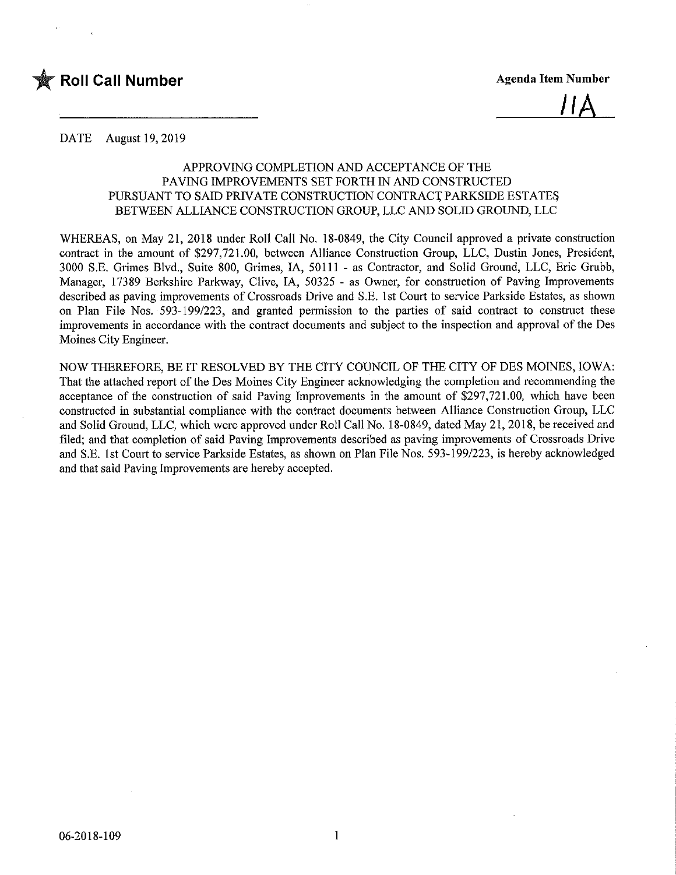

<u>IIA</u>

DATE August 19, 2019

### APPROVING COMPLETION AND ACCEPTANCE OF THE PAVING IMPROVEMENTS SET FORTH IN AND CONSTRUCTED PURSUANT TO SAID PRIVATE CONSTRUCTION CONTRACT PARKSIDE ESTATES BETWEEN ALLIANCE CONSTRUCTION GROUP, LLC AND SOLID GROUND, LLC

WHEREAS, on May 21, 2018 under Roll Call No. 18-0849, the City Council approved a private construction contract in the amount of \$297,721.00, between Alliance Construction Group, LLC, Dustin Jones, President, 3000 S.E. Grimes Blvd., Suite 800, Grimes, IA, 50111 - as Contractor, and Solid Ground, LLC, Eric Grubb, Manager, 17389 Berkshire Parkway, Clive, IA, 50325 - as Owner, for construction of Paving Improvements described as paving improvements of Crossroads Drive and S.E. 1st Court to service Parkside Estates, as shown on Plan File Nos. 593-199/223, and granted permission to the parties of said contract to construct these improvements in accordance with the contract documents and subject to the inspection and approval of the Des Moines City Engineer.

NOW THEREFORE, BE IT RESOLVED BY THE CITY COUNCIL OF THE CITY OF DES MOINES, IOWA: That the attached report of the Des Moines City Engineer acknowledging the completion and recommending the acceptance of the construction of said Paving Improvements in the amount of \$297,721.00, which have been constructed in substantial compliance with the contract documents between Alliance Construction Group, LLC and Solid Ground, LLC, which were approved under Roll Call No. 18-0849, dated May 21, 2018, be received and filed; and that completion of said Paving Improvements described as paving improvements of Crossroads Drive and S.E. 1st Court to service Parkside Estates, as shown on Plan File Nos. 593-199/223, is hereby acknowledged and that said Paving Improvements are hereby accepted.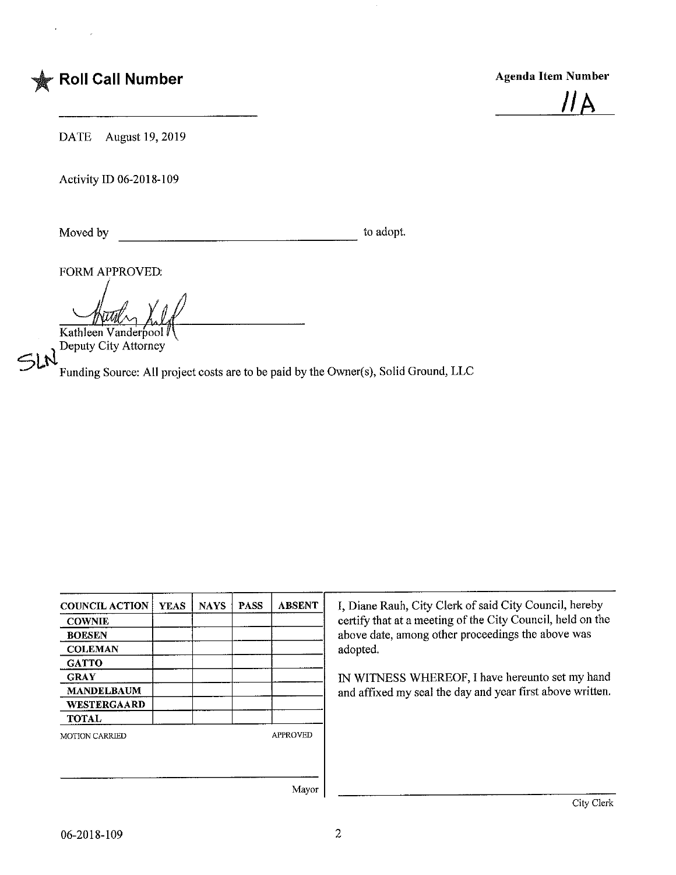



DATE August 19,2019

Activity ID 06-2018-109

Moved by to adopt.

FORM APPROVED:

Kathleen Vanderpool

Deputy City Attorney

 $5LN$ 

Funding Source: All project costs are to be paid by the Owner(s), Solid Ground, LLC

| <b>COUNCIL ACTION</b> | <b>YEAS</b> | <b>NAYS</b> | <b>PASS</b> | <b>ABSENT</b>   | I, Diane Rauh, City Clerk of said City Council, hereby      |  |  |  |
|-----------------------|-------------|-------------|-------------|-----------------|-------------------------------------------------------------|--|--|--|
| <b>COWNIE</b>         |             |             |             |                 | certify that at a meeting of the City Council, held on the  |  |  |  |
| <b>BOESEN</b>         |             |             |             |                 | above date, among other proceedings the above was           |  |  |  |
| <b>COLEMAN</b>        |             |             |             |                 | adopted.<br>IN WITNESS WHEREOF, I have hereunto set my hand |  |  |  |
| <b>GATTO</b>          |             |             |             |                 |                                                             |  |  |  |
| <b>GRAY</b>           |             |             |             |                 |                                                             |  |  |  |
| <b>MANDELBAUM</b>     |             |             |             |                 | and affixed my seal the day and year first above written.   |  |  |  |
| <b>WESTERGAARD</b>    |             |             |             |                 |                                                             |  |  |  |
| <b>TOTAL</b>          |             |             |             |                 |                                                             |  |  |  |
| <b>MOTION CARRIED</b> |             |             |             | <b>APPROVED</b> |                                                             |  |  |  |
|                       |             |             |             |                 |                                                             |  |  |  |
|                       |             |             |             |                 |                                                             |  |  |  |
|                       |             |             |             |                 |                                                             |  |  |  |
|                       |             |             |             | Mayor           |                                                             |  |  |  |
|                       |             |             |             |                 | City Clerk                                                  |  |  |  |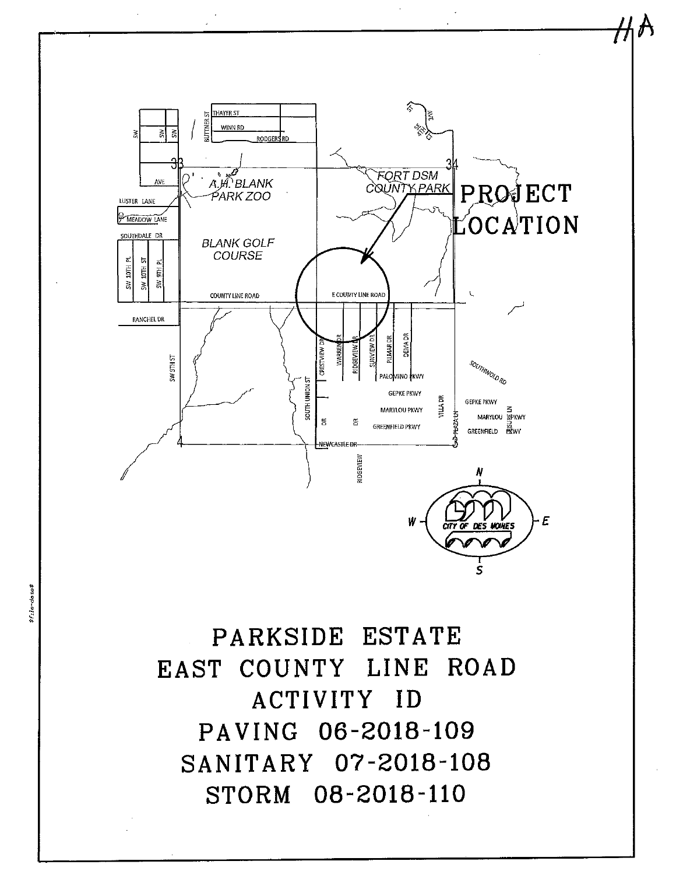

# PARKSIDE ESTATE EAST COUNTY LINE ROAD ACTIVITY ID PAVING 06-2018-109 SANITARY 07-2018-108 STORM 08-2018-110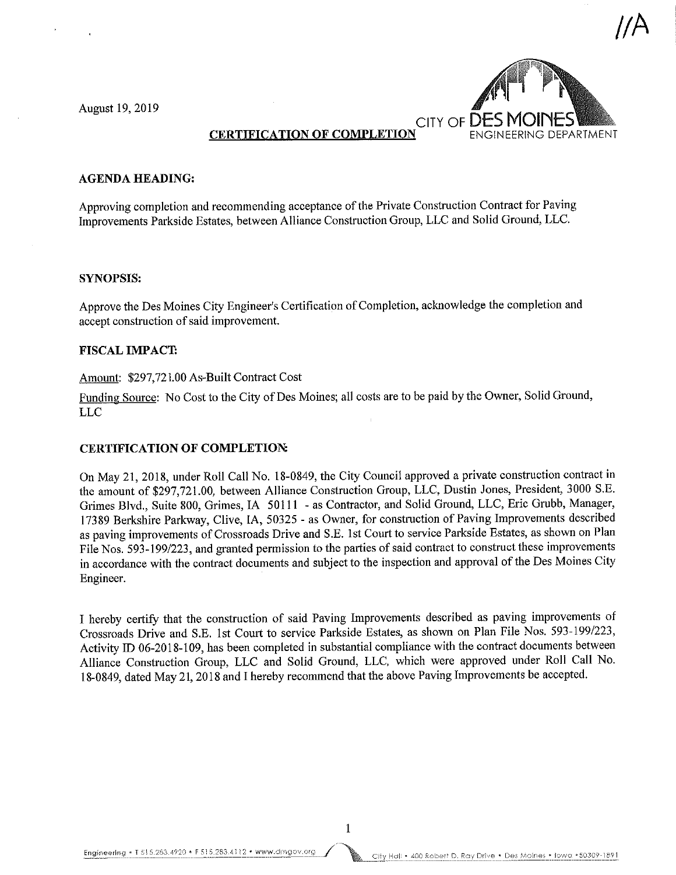August 19, 2019



## CERTIFICATION OF COMPLETION

#### AGENDA HEADING:

Approving completion and recommending acceptance of the Private Construction Contract for Paving Improvements Parkside Estates, between Alliance Construction Group, LLC and Solid Ground, LLC.

#### SYNOPSIS:

Approve the Des Moines City Engineer's Certification of Completion, acknowledge the completion and accept construction of said improvement.

#### FISCAL IMPACT:

#### Amount: \$297,721.00 As-Built Contract Cost

Funding Source: No Cost to the City of Des Moines; all costs are to be paid by the Owner, Solid Ground, LLC

#### CERTIFICATION OF COMPLETION:

On May 21, 2018, under Roll Call No. 18-0849, the City Council approved a private construction contract in the amount of \$297,721.00, between Alliance Construction Group, LLC, Dustin Jones, President, 3000 S.E. Grimes Blvd., Suite 800, Grimes, IA 50111 - as Contractor, and Solid Ground, LLC, Eric Grubb, Manager, 17389 Berkshire Parkway, Clive, IA, 50325 - as Owner, for construction of Paving Improvements described as paving improvements of Crossroads Drive and S.E. 1st Court to service Parkside Estates, as shown on Plan File Nos. 593-199/223, and granted permission to the parties of said contract to construct these improvements in accordance with the contract documents and subject to the inspection and approval of the Des Moines City Engineer.

I hereby certify that the construction of said Paving Improvements described as paving improvements of Crossroads Drive and S.E. 1st Court to service Parkside Estates, as shown on Plan File Nos. 593-199/223, Activity ID 06-2018-109, has been completed in substantial compliance with the contract documents between Alliance Construction Group, LLC and Solid Ground, LLC, which were approved under Roll Call No. 18-0849, dated May 21,2018 and I hereby recommend that the above Paving Improvements be accepted.

 $\mathbf{1}$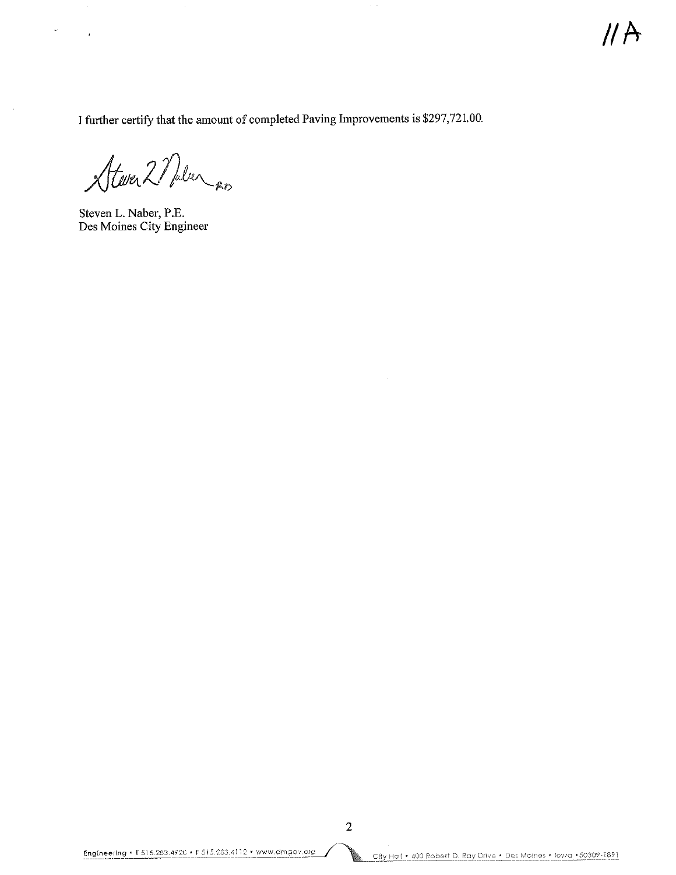I further certify that the amount of completed Paving Improvements is \$297,721.00.

Stever 2 Nalen en

Steven L. Naber, P.E. Des Moines City Engineer

à.